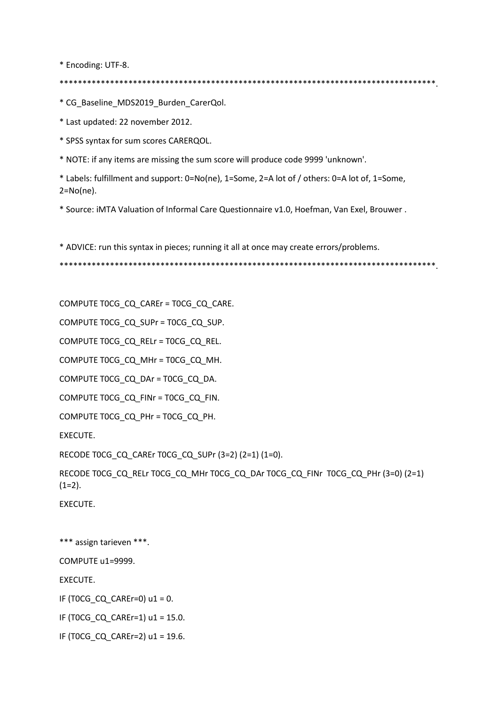\* Encoding: UTF-8.

\* CG\_Baseline\_MDS2019\_Burden\_CarerQol.

\* Last updated: 22 november 2012.

\* SPSS syntax for sum scores CARERQOL.

\* NOTE: if any items are missing the sum score will produce code 9999 'unknown'.

\* Labels: fulfillment and support: 0=No(ne), 1=Some, 2=A lot of / others: 0=A lot of, 1=Some,  $2 = No(ne)$ .

\* Source: iMTA Valuation of Informal Care Questionnaire v1.0, Hoefman, Van Exel, Brouwer.

\* ADVICE: run this syntax in pieces; running it all at once may create errors/problems.

COMPUTE TOCG\_CQ\_CAREr = TOCG\_CQ\_CARE.

COMPUTE TOCG\_CQ\_SUPr = TOCG\_CQ\_SUP.

COMPUTE TOCG\_CQ\_RELr = TOCG\_CQ\_REL.

COMPUTE TOCG\_CQ\_MHr = TOCG\_CQ\_MH.

COMPUTE TOCG\_CQ\_DAr = TOCG\_CQ\_DA.

COMPUTE TOCG\_CQ\_FINr = TOCG\_CQ\_FIN.

COMPUTE TOCG\_CQ\_PHr = TOCG\_CQ\_PH.

EXECUTE.

RECODE TOCG\_CQ\_CAREr TOCG\_CQ\_SUPr (3=2) (2=1) (1=0).

RECODE TOCG\_CQ\_RELr TOCG\_CQ\_MHr TOCG\_CQ\_DAr TOCG\_CQ\_FINr TOCG\_CQ\_PHr (3=0) (2=1)  $(1=2)$ .

EXECUTE.

\*\*\* assign tarieven \*\*\*. COMPUTE u1=9999. EXECUTE. IF (TOCG\_CQ\_CAREr=0) u1 = 0. IF (TOCG\_CQ\_CAREr=1) u1 = 15.0. IF (TOCG\_CQ\_CAREr=2) u1 = 19.6.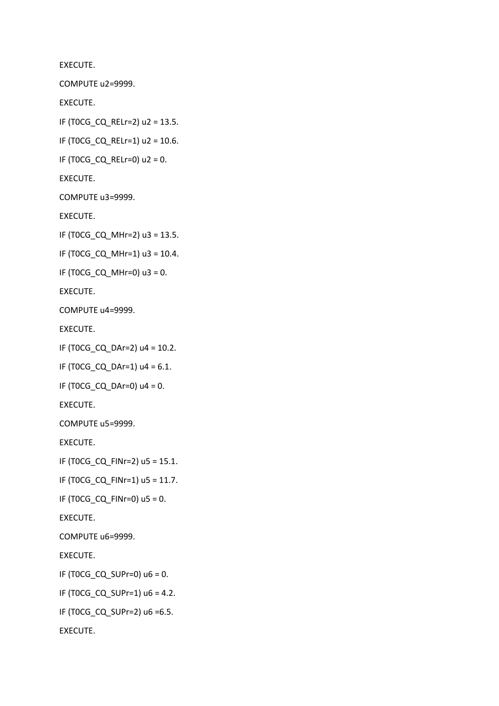EXECUTE. COMPUTE u2=9999. EXECUTE. IF (T0CG\_CQ\_RELr=2) u2 = 13.5. IF (T0CG\_CQ\_RELr=1) u2 = 10.6. IF (T0CG\_CQ\_RELr=0) u2 = 0. EXECUTE. COMPUTE u3=9999. EXECUTE. IF (TOCG CQ MHr=2) u3 = 13.5. IF (TOCG CQ MHr=1) u3 =  $10.4$ . IF (TOCG CQ MHr=0)  $u3 = 0$ . EXECUTE. COMPUTE u4=9999. EXECUTE. IF (TOCG CQ DAr=2)  $u4 = 10.2$ . IF (T0CG\_CQ\_DAr=1) u4 = 6.1. IF (TOCG\_CQ\_DAr=0)  $u4 = 0$ . EXECUTE. COMPUTE u5=9999. EXECUTE. IF (T0CG\_CQ\_FINr=2) u5 = 15.1. IF (T0CG\_CQ\_FINr=1) u5 = 11.7. IF (T0CG\_CQ\_FINr=0) u5 = 0. EXECUTE. COMPUTE u6=9999. EXECUTE. IF (TOCG CQ SUPr=0)  $u6 = 0$ . IF (TOCG CQ SUPr=1)  $u6 = 4.2$ . IF (T0CG\_CQ\_SUPr=2) u6 =6.5. EXECUTE.